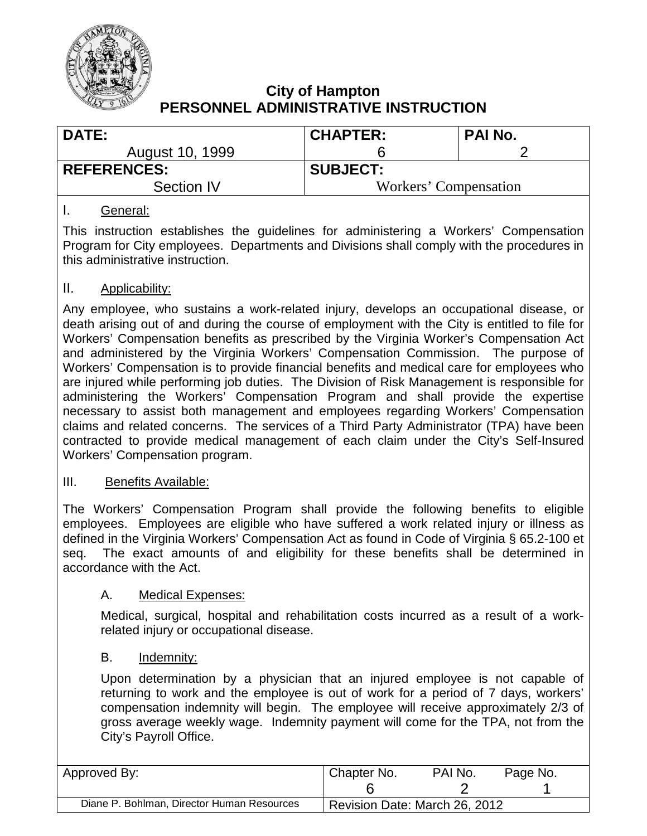

| <b>DATE:</b>       | <b>CHAPTER:</b>       | PAI No. |  |  |
|--------------------|-----------------------|---------|--|--|
| August 10, 1999    |                       |         |  |  |
| <b>REFERENCES:</b> | <b>SUBJECT:</b>       |         |  |  |
| Section IV         | Workers' Compensation |         |  |  |
|                    |                       |         |  |  |

## I. General:

This instruction establishes the guidelines for administering a Workers' Compensation Program for City employees. Departments and Divisions shall comply with the procedures in this administrative instruction.

## II. Applicability:

Any employee, who sustains a work-related injury, develops an occupational disease, or death arising out of and during the course of employment with the City is entitled to file for Workers' Compensation benefits as prescribed by the Virginia Worker's Compensation Act and administered by the Virginia Workers' Compensation Commission. The purpose of Workers' Compensation is to provide financial benefits and medical care for employees who are injured while performing job duties. The Division of Risk Management is responsible for administering the Workers' Compensation Program and shall provide the expertise necessary to assist both management and employees regarding Workers' Compensation claims and related concerns. The services of a Third Party Administrator (TPA) have been contracted to provide medical management of each claim under the City's Self-Insured Workers' Compensation program.

#### III. Benefits Available:

The Workers' Compensation Program shall provide the following benefits to eligible employees. Employees are eligible who have suffered a work related injury or illness as defined in the Virginia Workers' Compensation Act as found in Code of Virginia § 65.2-100 et seq. The exact amounts of and eligibility for these benefits shall be determined in accordance with the Act.

#### A. Medical Expenses:

Medical, surgical, hospital and rehabilitation costs incurred as a result of a workrelated injury or occupational disease.

#### B. Indemnity:

Upon determination by a physician that an injured employee is not capable of returning to work and the employee is out of work for a period of 7 days, workers' compensation indemnity will begin. The employee will receive approximately 2/3 of gross average weekly wage. Indemnity payment will come for the TPA, not from the City's Payroll Office.

| Approved By:                               | Chapter No.                   | PAI No. | Page No. |
|--------------------------------------------|-------------------------------|---------|----------|
| Diane P. Bohlman, Director Human Resources | Revision Date: March 26, 2012 |         |          |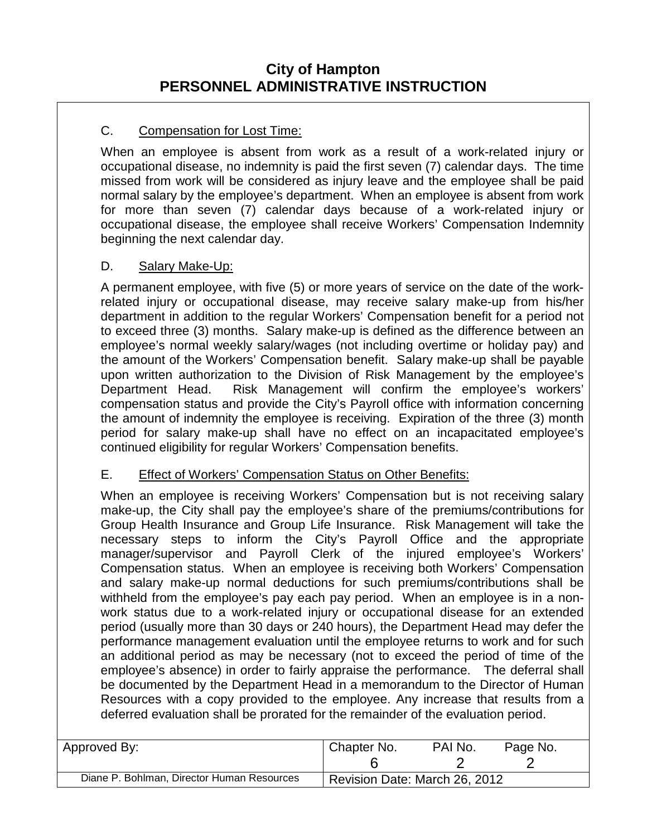## C. Compensation for Lost Time:

When an employee is absent from work as a result of a work-related injury or occupational disease, no indemnity is paid the first seven (7) calendar days. The time missed from work will be considered as injury leave and the employee shall be paid normal salary by the employee's department. When an employee is absent from work for more than seven (7) calendar days because of a work-related injury or occupational disease, the employee shall receive Workers' Compensation Indemnity beginning the next calendar day.

## D. Salary Make-Up:

A permanent employee, with five (5) or more years of service on the date of the workrelated injury or occupational disease, may receive salary make-up from his/her department in addition to the regular Workers' Compensation benefit for a period not to exceed three (3) months. Salary make-up is defined as the difference between an employee's normal weekly salary/wages (not including overtime or holiday pay) and the amount of the Workers' Compensation benefit. Salary make-up shall be payable upon written authorization to the Division of Risk Management by the employee's Department Head. Risk Management will confirm the employee's workers' compensation status and provide the City's Payroll office with information concerning the amount of indemnity the employee is receiving. Expiration of the three (3) month period for salary make-up shall have no effect on an incapacitated employee's continued eligibility for regular Workers' Compensation benefits.

## E. Effect of Workers' Compensation Status on Other Benefits:

When an employee is receiving Workers' Compensation but is not receiving salary make-up, the City shall pay the employee's share of the premiums/contributions for Group Health Insurance and Group Life Insurance. Risk Management will take the necessary steps to inform the City's Payroll Office and the appropriate manager/supervisor and Payroll Clerk of the injured employee's Workers' Compensation status. When an employee is receiving both Workers' Compensation and salary make-up normal deductions for such premiums/contributions shall be withheld from the employee's pay each pay period. When an employee is in a nonwork status due to a work-related injury or occupational disease for an extended period (usually more than 30 days or 240 hours), the Department Head may defer the performance management evaluation until the employee returns to work and for such an additional period as may be necessary (not to exceed the period of time of the employee's absence) in order to fairly appraise the performance. The deferral shall be documented by the Department Head in a memorandum to the Director of Human Resources with a copy provided to the employee. Any increase that results from a deferred evaluation shall be prorated for the remainder of the evaluation period.

| ' Approved By:                             | Chapter No.                   | PAI No. | Page No. |
|--------------------------------------------|-------------------------------|---------|----------|
| Diane P. Bohlman, Director Human Resources | Revision Date: March 26, 2012 |         |          |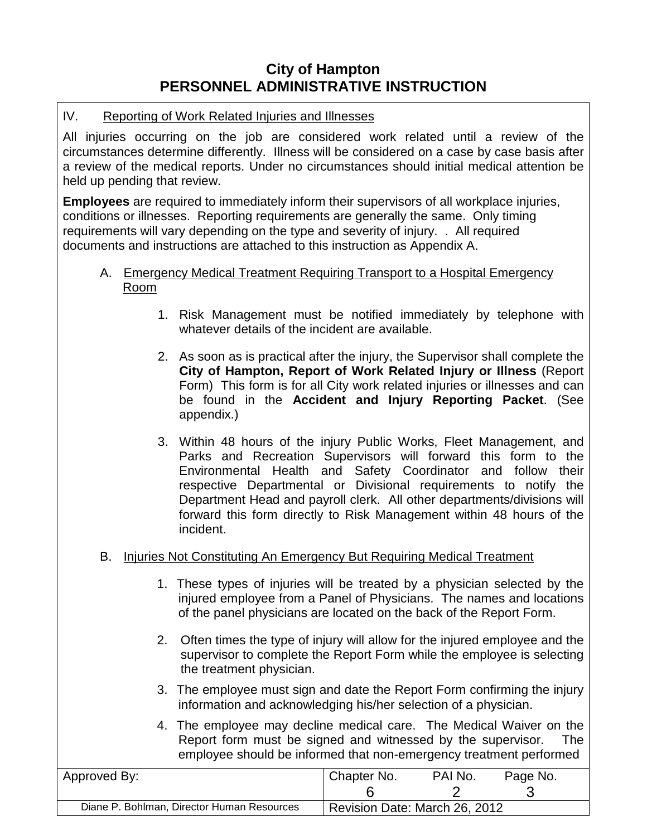### IV. Reporting of Work Related Injuries and Illnesses

All injuries occurring on the job are considered work related until a review of the circumstances determine differently. Illness will be considered on a case by case basis after a review of the medical reports. Under no circumstances should initial medical attention be held up pending that review.

**Employees** are required to immediately inform their supervisors of all workplace injuries, conditions or illnesses. Reporting requirements are generally the same. Only timing requirements will vary depending on the type and severity of injury. . All required documents and instructions are attached to this instruction as Appendix A.

#### A. Emergency Medical Treatment Requiring Transport to a Hospital Emergency Room

- 1. Risk Management must be notified immediately by telephone with whatever details of the incident are available.
- 2. As soon as is practical after the injury, the Supervisor shall complete the **City of Hampton, Report of Work Related Injury or Illness** (Report Form) This form is for all City work related injuries or illnesses and can be found in the **Accident and Injury Reporting Packet**. (See appendix.)
- 3. Within 48 hours of the injury Public Works, Fleet Management, and Parks and Recreation Supervisors will forward this form to the Environmental Health and Safety Coordinator and follow their respective Departmental or Divisional requirements to notify the Department Head and payroll clerk. All other departments/divisions will forward this form directly to Risk Management within 48 hours of the incident.

## B. Injuries Not Constituting An Emergency But Requiring Medical Treatment

- 1. These types of injuries will be treated by a physician selected by the injured employee from a Panel of Physicians. The names and locations of the panel physicians are located on the back of the Report Form.
- 2. Often times the type of injury will allow for the injured employee and the supervisor to complete the Report Form while the employee is selecting the treatment physician.
- 3. The employee must sign and date the Report Form confirming the injury information and acknowledging his/her selection of a physician.
- 4. The employee may decline medical care. The Medical Waiver on the Report form must be signed and witnessed by the supervisor. The employee should be informed that non-emergency treatment performed

| Approved By:                               | Chapter No.                   | PAI No. | Page No. |
|--------------------------------------------|-------------------------------|---------|----------|
|                                            |                               |         |          |
| Diane P. Bohlman, Director Human Resources | Revision Date: March 26, 2012 |         |          |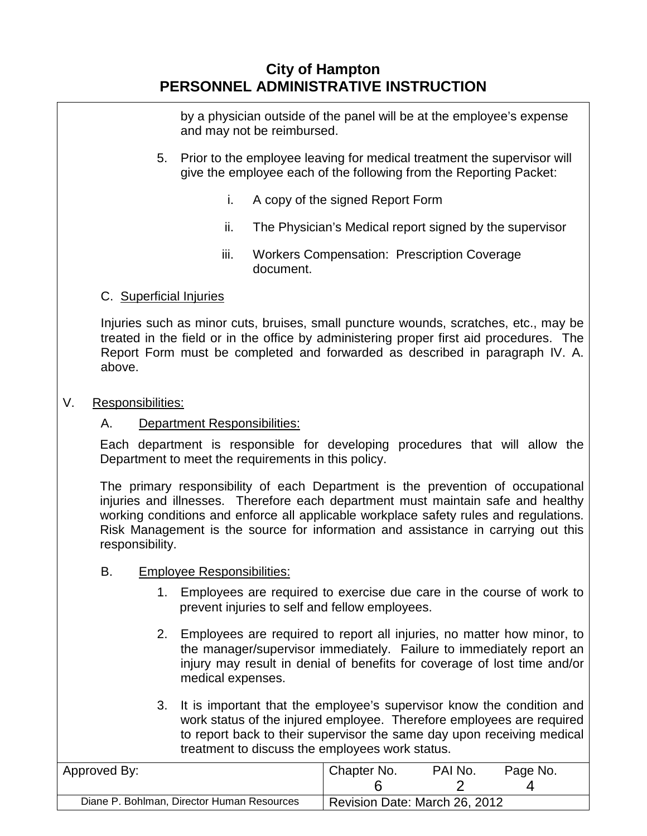by a physician outside of the panel will be at the employee's expense and may not be reimbursed.

- 5. Prior to the employee leaving for medical treatment the supervisor will give the employee each of the following from the Reporting Packet:
	- i. A copy of the signed Report Form
	- ii. The Physician's Medical report signed by the supervisor
	- iii. Workers Compensation: Prescription Coverage document.

## C. Superficial Injuries

Injuries such as minor cuts, bruises, small puncture wounds, scratches, etc., may be treated in the field or in the office by administering proper first aid procedures. The Report Form must be completed and forwarded as described in paragraph IV. A. above.

## V. Responsibilities:

## A. Department Responsibilities:

Each department is responsible for developing procedures that will allow the Department to meet the requirements in this policy.

The primary responsibility of each Department is the prevention of occupational injuries and illnesses. Therefore each department must maintain safe and healthy working conditions and enforce all applicable workplace safety rules and regulations. Risk Management is the source for information and assistance in carrying out this responsibility.

## B. Employee Responsibilities:

- 1. Employees are required to exercise due care in the course of work to prevent injuries to self and fellow employees.
- 2. Employees are required to report all injuries, no matter how minor, to the manager/supervisor immediately. Failure to immediately report an injury may result in denial of benefits for coverage of lost time and/or medical expenses.
- 3. It is important that the employee's supervisor know the condition and work status of the injured employee. Therefore employees are required to report back to their supervisor the same day upon receiving medical treatment to discuss the employees work status.

| Approved By:                               | Chapter No.                   | PAI No. | Page No. |
|--------------------------------------------|-------------------------------|---------|----------|
|                                            |                               |         |          |
| Diane P. Bohlman, Director Human Resources | Revision Date: March 26, 2012 |         |          |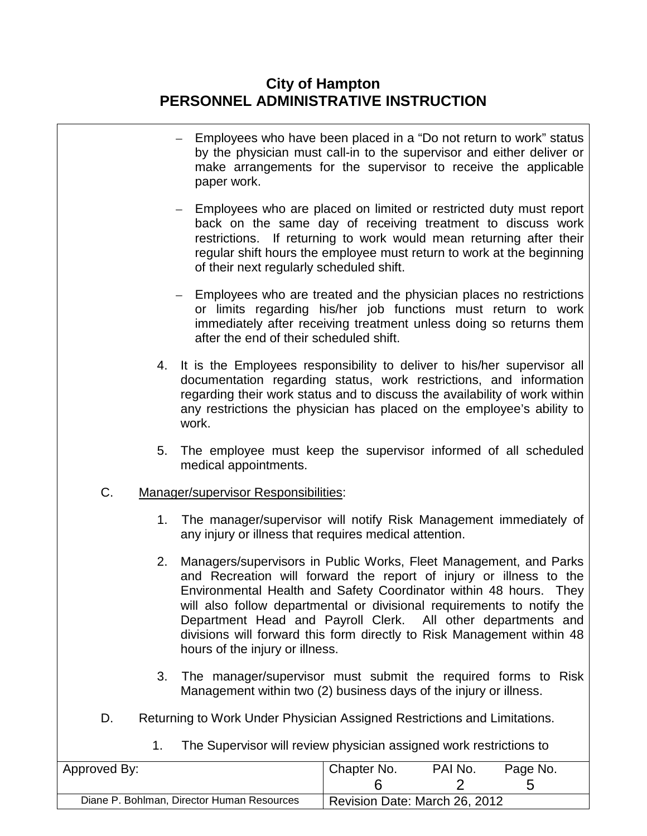|              |                | Employees who have been placed in a "Do not return to work" status<br>by the physician must call-in to the supervisor and either deliver or<br>make arrangements for the supervisor to receive the applicable<br>paper work.                                                                                                                                                                                                                                        |                               |              |               |  |
|--------------|----------------|---------------------------------------------------------------------------------------------------------------------------------------------------------------------------------------------------------------------------------------------------------------------------------------------------------------------------------------------------------------------------------------------------------------------------------------------------------------------|-------------------------------|--------------|---------------|--|
|              |                | - Employees who are placed on limited or restricted duty must report<br>back on the same day of receiving treatment to discuss work<br>restrictions. If returning to work would mean returning after their<br>regular shift hours the employee must return to work at the beginning<br>of their next regularly scheduled shift.                                                                                                                                     |                               |              |               |  |
|              |                | - Employees who are treated and the physician places no restrictions<br>or limits regarding his/her job functions must return to work<br>immediately after receiving treatment unless doing so returns them<br>after the end of their scheduled shift.                                                                                                                                                                                                              |                               |              |               |  |
|              | 4.             | It is the Employees responsibility to deliver to his/her supervisor all<br>documentation regarding status, work restrictions, and information<br>regarding their work status and to discuss the availability of work within<br>any restrictions the physician has placed on the employee's ability to<br>work.                                                                                                                                                      |                               |              |               |  |
|              | 5.             | The employee must keep the supervisor informed of all scheduled<br>medical appointments.                                                                                                                                                                                                                                                                                                                                                                            |                               |              |               |  |
| C.           |                | Manager/supervisor Responsibilities:                                                                                                                                                                                                                                                                                                                                                                                                                                |                               |              |               |  |
|              | 1.             | The manager/supervisor will notify Risk Management immediately of<br>any injury or illness that requires medical attention.                                                                                                                                                                                                                                                                                                                                         |                               |              |               |  |
|              | 2.             | Managers/supervisors in Public Works, Fleet Management, and Parks<br>and Recreation will forward the report of injury or illness to the<br>Environmental Health and Safety Coordinator within 48 hours. They<br>will also follow departmental or divisional requirements to notify the<br>Department Head and Payroll Clerk. All other departments and<br>divisions will forward this form directly to Risk Management within 48<br>hours of the injury or illness. |                               |              |               |  |
|              | 3.             | The manager/supervisor must submit the required forms to Risk<br>Management within two (2) business days of the injury or illness.                                                                                                                                                                                                                                                                                                                                  |                               |              |               |  |
| D.           |                | Returning to Work Under Physician Assigned Restrictions and Limitations.                                                                                                                                                                                                                                                                                                                                                                                            |                               |              |               |  |
|              | 1 <sub>1</sub> | The Supervisor will review physician assigned work restrictions to                                                                                                                                                                                                                                                                                                                                                                                                  |                               |              |               |  |
| Approved By: |                |                                                                                                                                                                                                                                                                                                                                                                                                                                                                     | Chapter No.<br>6              | PAI No.<br>2 | Page No.<br>5 |  |
|              |                | Diane P. Bohlman, Director Human Resources                                                                                                                                                                                                                                                                                                                                                                                                                          | Revision Date: March 26, 2012 |              |               |  |
|              |                |                                                                                                                                                                                                                                                                                                                                                                                                                                                                     |                               |              |               |  |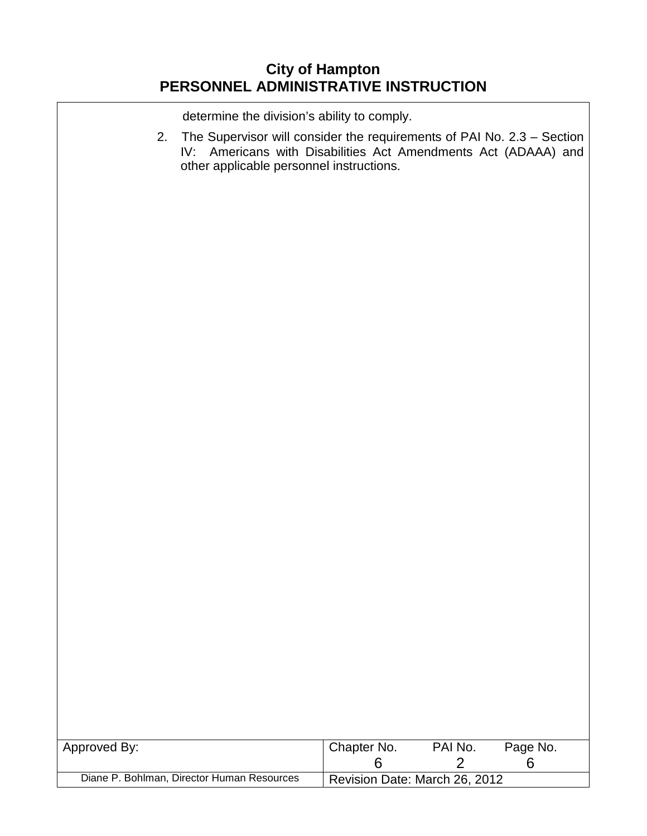determine the division's ability to comply.

2. The Supervisor will consider the requirements of PAI No. 2.3 – Section IV: Americans with Disabilities Act Amendments Act (ADAAA) and other applicable personnel instructions.

| Approved By:                               | Chapter No.                   | PAI No. | Page No. |  |  |
|--------------------------------------------|-------------------------------|---------|----------|--|--|
| Diane P. Bohlman, Director Human Resources | Revision Date: March 26, 2012 |         |          |  |  |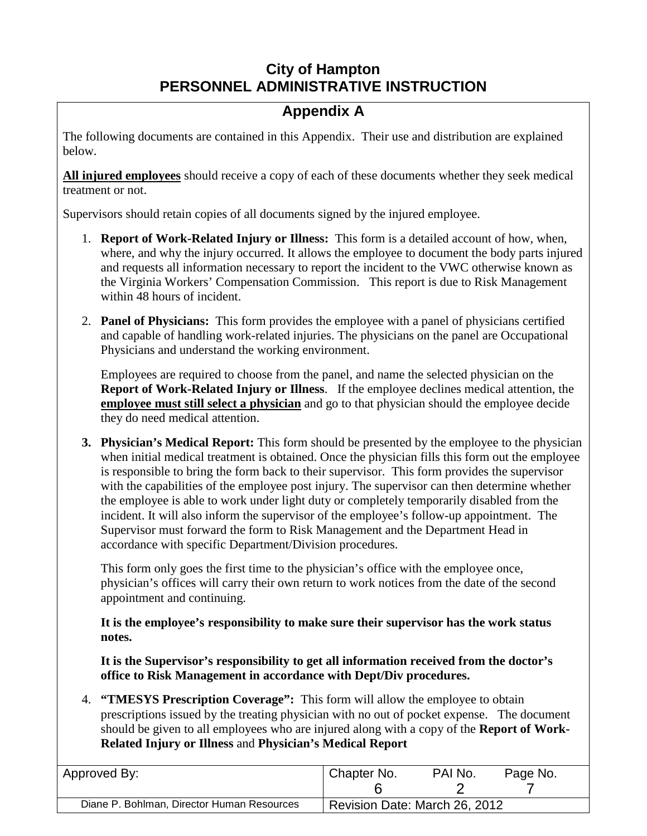# **Appendix A**

The following documents are contained in this Appendix. Their use and distribution are explained below.

**All injured employees** should receive a copy of each of these documents whether they seek medical treatment or not.

Supervisors should retain copies of all documents signed by the injured employee.

- 1. **Report of Work-Related Injury or Illness:** This form is a detailed account of how, when, where, and why the injury occurred. It allows the employee to document the body parts injured and requests all information necessary to report the incident to the VWC otherwise known as the Virginia Workers' Compensation Commission. This report is due to Risk Management within 48 hours of incident.
- 2. **Panel of Physicians:** This form provides the employee with a panel of physicians certified and capable of handling work-related injuries. The physicians on the panel are Occupational Physicians and understand the working environment.

Employees are required to choose from the panel, and name the selected physician on the **Report of Work-Related Injury or Illness**. If the employee declines medical attention, the **employee must still select a physician** and go to that physician should the employee decide they do need medical attention.

**3. Physician's Medical Report:** This form should be presented by the employee to the physician when initial medical treatment is obtained. Once the physician fills this form out the employee is responsible to bring the form back to their supervisor. This form provides the supervisor with the capabilities of the employee post injury. The supervisor can then determine whether the employee is able to work under light duty or completely temporarily disabled from the incident. It will also inform the supervisor of the employee's follow-up appointment. The Supervisor must forward the form to Risk Management and the Department Head in accordance with specific Department/Division procedures.

This form only goes the first time to the physician's office with the employee once, physician's offices will carry their own return to work notices from the date of the second appointment and continuing.

**It is the employee's responsibility to make sure their supervisor has the work status notes.** 

**It is the Supervisor's responsibility to get all information received from the doctor's office to Risk Management in accordance with Dept/Div procedures.**

4. **"TMESYS Prescription Coverage":** This form will allow the employee to obtain prescriptions issued by the treating physician with no out of pocket expense. The document should be given to all employees who are injured along with a copy of the **Report of Work-Related Injury or Illness** and **Physician's Medical Report**

| Approved By:                               | Chapter No.                   | PAI No. | Page No. |
|--------------------------------------------|-------------------------------|---------|----------|
| Diane P. Bohlman, Director Human Resources | Revision Date: March 26, 2012 |         |          |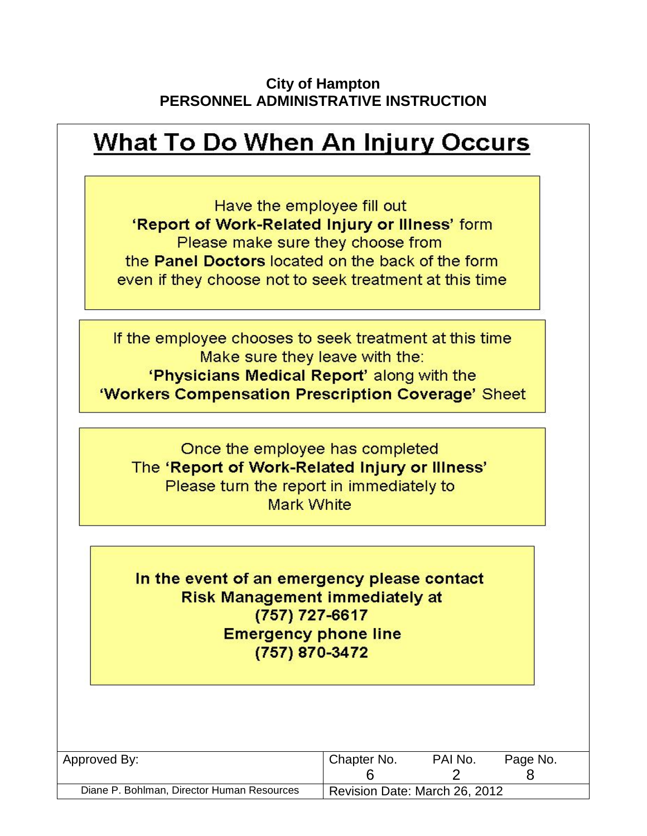# **What To Do When An Injury Occurs**

Have the employee fill out 'Report of Work-Related Injury or Illness' form Please make sure they choose from the **Panel Doctors** located on the back of the form even if they choose not to seek treatment at this time

If the employee chooses to seek treatment at this time Make sure they leave with the:

'Physicians Medical Report' along with the 'Workers Compensation Prescription Coverage' Sheet

Once the employee has completed The 'Report of Work-Related Injury or Illness' Please turn the report in immediately to **Mark White** 

In the event of an emergency please contact **Risk Management immediately at**  $(757)$  727-6617 **Emergency phone line** (757) 870-3472

| Approved By:                               | Chapter No.                   | PAI No. | Page No. |  |
|--------------------------------------------|-------------------------------|---------|----------|--|
|                                            |                               |         |          |  |
| Diane P. Bohlman, Director Human Resources | Revision Date: March 26, 2012 |         |          |  |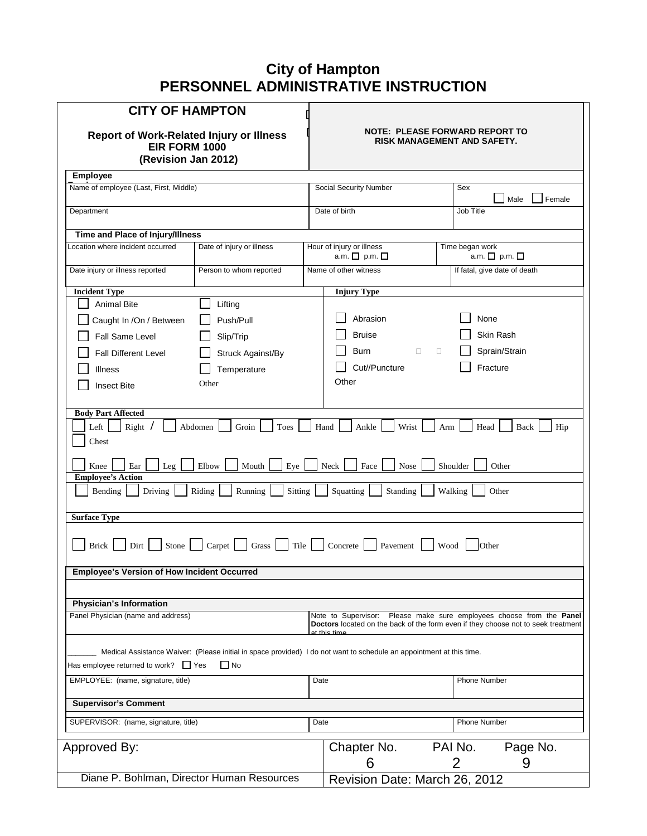| <b>CITY OF HAMPTON</b>                                                                  |                                                                                                                      |      |                                                                                                    |         |                 |                              |  |
|-----------------------------------------------------------------------------------------|----------------------------------------------------------------------------------------------------------------------|------|----------------------------------------------------------------------------------------------------|---------|-----------------|------------------------------|--|
| <b>Report of Work-Related Injury or Illness</b><br>EIR FORM 1000<br>(Revision Jan 2012) |                                                                                                                      |      | <b>NOTE: PLEASE FORWARD REPORT TO</b><br>RISK MANAGEMENT AND SAFETY.                               |         |                 |                              |  |
| Employee                                                                                |                                                                                                                      |      |                                                                                                    |         |                 |                              |  |
| Name of employee (Last, First, Middle)                                                  |                                                                                                                      |      | Social Security Number                                                                             |         | Sex             | Male<br>Female               |  |
| Department                                                                              |                                                                                                                      |      | Date of birth                                                                                      |         | Job Title       |                              |  |
| Time and Place of Injury/Illness                                                        |                                                                                                                      |      |                                                                                                    |         |                 |                              |  |
| ocation where incident occurred                                                         | Date of injury or illness                                                                                            |      | Hour of injury or illness<br>a.m. □ p.m. □                                                         |         | Time began work | a.m. $\Box$ p.m. $\Box$      |  |
| Date injury or illness reported                                                         | Person to whom reported                                                                                              |      | Name of other witness                                                                              |         |                 | If fatal, give date of death |  |
| <b>Incident Type</b>                                                                    |                                                                                                                      |      | <b>Injury Type</b>                                                                                 |         |                 |                              |  |
| <b>Animal Bite</b>                                                                      | Lifting                                                                                                              |      |                                                                                                    |         |                 |                              |  |
| Caught In /On / Between                                                                 | Push/Pull                                                                                                            |      | Abrasion                                                                                           |         | None            |                              |  |
| Fall Same Level                                                                         | Slip/Trip                                                                                                            |      | <b>Bruise</b>                                                                                      |         |                 | Skin Rash                    |  |
| <b>Fall Different Level</b>                                                             | Struck Against/By                                                                                                    |      | Burn<br>$\Box$<br>Cut//Puncture                                                                    | 0       |                 | Sprain/Strain<br>Fracture    |  |
| Illness<br><b>Insect Bite</b>                                                           | Temperature<br>Other                                                                                                 |      | Other                                                                                              |         |                 |                              |  |
|                                                                                         |                                                                                                                      |      |                                                                                                    |         |                 |                              |  |
| <b>Body Part Affected</b>                                                               |                                                                                                                      |      |                                                                                                    |         |                 |                              |  |
| Left<br>Right<br>Chest                                                                  | Abdomen<br>Groin<br>Toes                                                                                             |      | Wrist<br>Hand<br>Ankle                                                                             | Arm     | Head            | Back<br>Hip                  |  |
| Ear<br>Knee<br>Leg<br><b>Employee's Action</b>                                          | Elbow<br>Eye<br>Mouth                                                                                                |      | Face<br>Neck<br>Nose                                                                               |         | Shoulder        | Other                        |  |
| Bending<br>Driving                                                                      | Sitting<br>Riding<br>Running                                                                                         |      | Squatting<br>Standing                                                                              | Walking |                 | Other                        |  |
| <b>Surface Type</b>                                                                     |                                                                                                                      |      |                                                                                                    |         |                 |                              |  |
| Stone<br><b>Brick</b><br>Dirt                                                           | Tile<br>Carpet  <br>Grass                                                                                            |      | Concrete<br>Pavement                                                                               | Wood    | Other           |                              |  |
| <b>Employee's Version of How Incident Occurred</b>                                      |                                                                                                                      |      |                                                                                                    |         |                 |                              |  |
| <b>Physician's Information</b>                                                          |                                                                                                                      |      |                                                                                                    |         |                 |                              |  |
| Panel Physician (name and address)                                                      |                                                                                                                      |      | Note to Supervisor: Please make sure employees choose from the <b>Panel</b>                        |         |                 |                              |  |
|                                                                                         |                                                                                                                      |      | Doctors located on the back of the form even if they choose not to seek treatment<br>at this time. |         |                 |                              |  |
|                                                                                         | Medical Assistance Waiver: (Please initial in space provided) I do not want to schedule an appointment at this time. |      |                                                                                                    |         |                 |                              |  |
| Has employee returned to work? $\Box$ Yes                                               | $\Box$ No                                                                                                            |      |                                                                                                    |         |                 |                              |  |
| EMPLOYEE: (name, signature, title)                                                      |                                                                                                                      | Date |                                                                                                    |         | Phone Number    |                              |  |
| <b>Supervisor's Comment</b>                                                             |                                                                                                                      |      |                                                                                                    |         |                 |                              |  |
| SUPERVISOR: (name, signature, title)                                                    |                                                                                                                      | Date |                                                                                                    |         | Phone Number    |                              |  |
| Approved By:                                                                            |                                                                                                                      |      | Chapter No.                                                                                        |         | PAI No.         | Page No.                     |  |
|                                                                                         |                                                                                                                      |      | 6                                                                                                  |         | 2               | 9                            |  |
| Diane P. Bohlman, Director Human Resources                                              |                                                                                                                      |      | Revision Date: March 26, 2012                                                                      |         |                 |                              |  |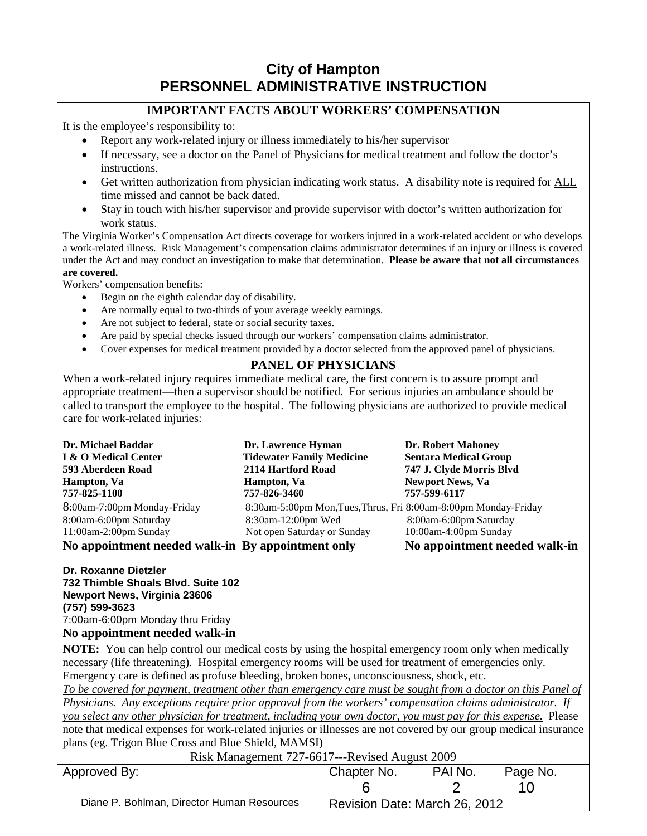### **IMPORTANT FACTS ABOUT WORKERS' COMPENSATION**

It is the employee's responsibility to:

- Report any work-related injury or illness immediately to his/her supervisor
- If necessary, see a doctor on the Panel of Physicians for medical treatment and follow the doctor's instructions.
- Get written authorization from physician indicating work status. A disability note is required for ALL time missed and cannot be back dated.
- Stay in touch with his/her supervisor and provide supervisor with doctor's written authorization for work status.

The Virginia Worker's Compensation Act directs coverage for workers injured in a work-related accident or who develops a work-related illness. Risk Management's compensation claims administrator determines if an injury or illness is covered under the Act and may conduct an investigation to make that determination. **Please be aware that not all circumstances are covered.** 

Workers' compensation benefits:

- Begin on the eighth calendar day of disability.
- Are normally equal to two-thirds of your average weekly earnings.
- Are not subject to federal, state or social security taxes.
- Are paid by special checks issued through our workers' compensation claims administrator.
- Cover expenses for medical treatment provided by a doctor selected from the approved panel of physicians.

## **PANEL OF PHYSICIANS**

When a work-related injury requires immediate medical care, the first concern is to assure prompt and appropriate treatment—then a supervisor should be notified. For serious injuries an ambulance should be called to transport the employee to the hospital. The following physicians are authorized to provide medical care for work-related injuries:

| Dr. Michael Baddar                                | Dr. Lawrence Hyman                                              | <b>Dr. Robert Mahoney</b>     |
|---------------------------------------------------|-----------------------------------------------------------------|-------------------------------|
| I & O Medical Center                              | <b>Tidewater Family Medicine</b>                                | <b>Sentara Medical Group</b>  |
| 593 Aberdeen Road                                 | 2114 Hartford Road                                              | 747 J. Clyde Morris Blvd      |
| Hampton, Va                                       | Hampton, Va                                                     | <b>Newport News, Va</b>       |
| 757-825-1100                                      | 757-826-3460                                                    | 757-599-6117                  |
| 8:00am-7:00pm Monday-Friday                       | 8:30am-5:00pm Mon, Tues, Thrus, Fri 8:00am-8:00pm Monday-Friday |                               |
| 8:00am-6:00pm Saturday                            | 8:30am-12:00pm Wed                                              | 8:00am-6:00pm Saturday        |
| $11:00$ am-2:00pm Sunday                          | Not open Saturday or Sunday                                     | $10:00$ am-4:00pm Sunday      |
| No appointment needed walk-in By appointment only |                                                                 | No appointment needed walk-in |

**Dr. Roxanne Dietzler 732 Thimble Shoals Blvd. Suite 102 Newport News, Virginia 23606 (757) 599-3623** 7:00am-6:00pm Monday thru Friday

#### **No appointment needed walk-in**

**NOTE:** You can help control our medical costs by using the hospital emergency room only when medically necessary (life threatening). Hospital emergency rooms will be used for treatment of emergencies only. Emergency care is defined as profuse bleeding, broken bones, unconsciousness, shock, etc.

*To be covered for payment, treatment other than emergency care must be sought from a doctor on this Panel of Physicians. Any exceptions require prior approval from the workers' compensation claims administrator. If* 

*you select any other physician for treatment, including your own doctor, you must pay for this expense.* Please note that medical expenses for work-related injuries or illnesses are not covered by our group medical insurance plans (eg. Trigon Blue Cross and Blue Shield, MAMSI) Risk Management 727-6617---Revised August 2009

| $\sum_{i=1}^{n} \sum_{j=1}^{n} \sum_{j=1}^{n} \sum_{j=1}^{n} \sum_{j=1}^{n} \sum_{j=1}^{n} \sum_{j=1}^{n} \sum_{j=1}^{n} \sum_{j=1}^{n} \sum_{j=1}^{n} \sum_{j=1}^{n} \sum_{j=1}^{n} \sum_{j=1}^{n} \sum_{j=1}^{n} \sum_{j=1}^{n} \sum_{j=1}^{n} \sum_{j=1}^{n} \sum_{j=1}^{n} \sum_{j=1}^{n} \sum_{j=1}^{n} \sum_{j=1}^{n} \sum_{j=1}^{n}$ |                               |         |          |  |  |
|---------------------------------------------------------------------------------------------------------------------------------------------------------------------------------------------------------------------------------------------------------------------------------------------------------------------------------------------|-------------------------------|---------|----------|--|--|
| Approved By:                                                                                                                                                                                                                                                                                                                                | Chapter No.                   | PAI No. | Page No. |  |  |
|                                                                                                                                                                                                                                                                                                                                             |                               |         |          |  |  |
| Diane P. Bohlman, Director Human Resources                                                                                                                                                                                                                                                                                                  | Revision Date: March 26, 2012 |         |          |  |  |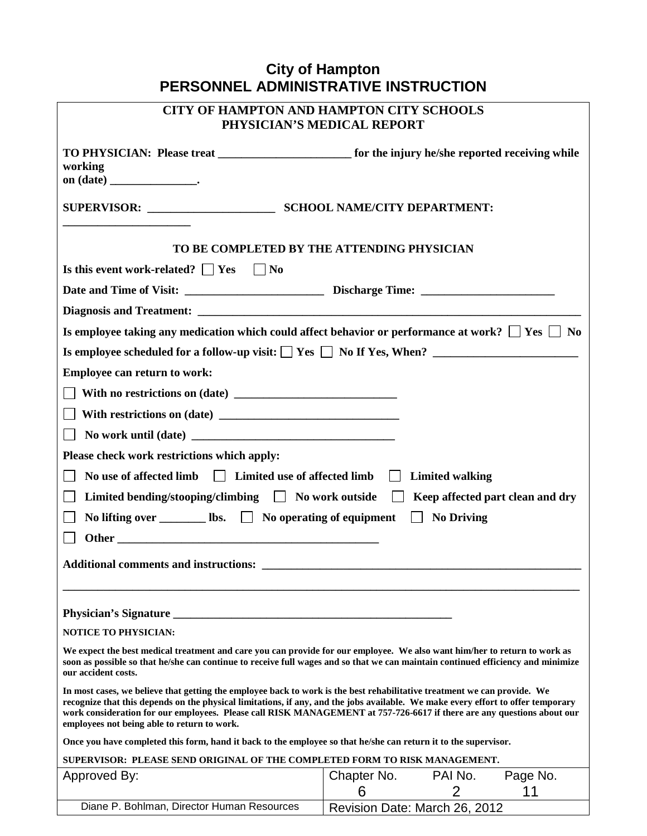| <b>CITY OF HAMPTON AND HAMPTON CITY SCHOOLS</b><br>PHYSICIAN'S MEDICAL REPORT                                                                                                                                                                                                                                                                                                                                                         |                                               |  |  |  |  |  |  |  |
|---------------------------------------------------------------------------------------------------------------------------------------------------------------------------------------------------------------------------------------------------------------------------------------------------------------------------------------------------------------------------------------------------------------------------------------|-----------------------------------------------|--|--|--|--|--|--|--|
| working                                                                                                                                                                                                                                                                                                                                                                                                                               |                                               |  |  |  |  |  |  |  |
|                                                                                                                                                                                                                                                                                                                                                                                                                                       |                                               |  |  |  |  |  |  |  |
| TO BE COMPLETED BY THE ATTENDING PHYSICIAN                                                                                                                                                                                                                                                                                                                                                                                            |                                               |  |  |  |  |  |  |  |
| Is this event work-related? $\Box$ Yes $\Box$ No                                                                                                                                                                                                                                                                                                                                                                                      |                                               |  |  |  |  |  |  |  |
|                                                                                                                                                                                                                                                                                                                                                                                                                                       |                                               |  |  |  |  |  |  |  |
|                                                                                                                                                                                                                                                                                                                                                                                                                                       |                                               |  |  |  |  |  |  |  |
| Is employee taking any medication which could affect behavior or performance at work? $\square$ Yes $\square$ No                                                                                                                                                                                                                                                                                                                      |                                               |  |  |  |  |  |  |  |
|                                                                                                                                                                                                                                                                                                                                                                                                                                       |                                               |  |  |  |  |  |  |  |
| Employee can return to work:                                                                                                                                                                                                                                                                                                                                                                                                          |                                               |  |  |  |  |  |  |  |
|                                                                                                                                                                                                                                                                                                                                                                                                                                       |                                               |  |  |  |  |  |  |  |
|                                                                                                                                                                                                                                                                                                                                                                                                                                       |                                               |  |  |  |  |  |  |  |
|                                                                                                                                                                                                                                                                                                                                                                                                                                       |                                               |  |  |  |  |  |  |  |
|                                                                                                                                                                                                                                                                                                                                                                                                                                       |                                               |  |  |  |  |  |  |  |
| Please check work restrictions which apply:                                                                                                                                                                                                                                                                                                                                                                                           |                                               |  |  |  |  |  |  |  |
| No use of affected limb $\Box$ Limited use of affected limb $\Box$ Limited walking                                                                                                                                                                                                                                                                                                                                                    |                                               |  |  |  |  |  |  |  |
| Limited bending/stooping/climbing $\Box$ No work outside $\Box$ Keep affected part clean and dry                                                                                                                                                                                                                                                                                                                                      |                                               |  |  |  |  |  |  |  |
| No lifting over $\Box$ lbs. $\Box$ No operating of equipment $\Box$ No Driving                                                                                                                                                                                                                                                                                                                                                        |                                               |  |  |  |  |  |  |  |
|                                                                                                                                                                                                                                                                                                                                                                                                                                       |                                               |  |  |  |  |  |  |  |
|                                                                                                                                                                                                                                                                                                                                                                                                                                       |                                               |  |  |  |  |  |  |  |
|                                                                                                                                                                                                                                                                                                                                                                                                                                       |                                               |  |  |  |  |  |  |  |
| <b>Physician's Signature</b>                                                                                                                                                                                                                                                                                                                                                                                                          |                                               |  |  |  |  |  |  |  |
| <b>NOTICE TO PHYSICIAN:</b>                                                                                                                                                                                                                                                                                                                                                                                                           |                                               |  |  |  |  |  |  |  |
| We expect the best medical treatment and care you can provide for our employee. We also want him/her to return to work as<br>soon as possible so that he/she can continue to receive full wages and so that we can maintain continued efficiency and minimize<br>our accident costs.                                                                                                                                                  |                                               |  |  |  |  |  |  |  |
| In most cases, we believe that getting the employee back to work is the best rehabilitative treatment we can provide. We<br>recognize that this depends on the physical limitations, if any, and the jobs available. We make every effort to offer temporary<br>work consideration for our employees. Please call RISK MANAGEMENT at 757-726-6617 if there are any questions about our<br>employees not being able to return to work. |                                               |  |  |  |  |  |  |  |
| Once you have completed this form, hand it back to the employee so that he/she can return it to the supervisor.                                                                                                                                                                                                                                                                                                                       |                                               |  |  |  |  |  |  |  |
| SUPERVISOR: PLEASE SEND ORIGINAL OF THE COMPLETED FORM TO RISK MANAGEMENT.                                                                                                                                                                                                                                                                                                                                                            |                                               |  |  |  |  |  |  |  |
| Approved By:                                                                                                                                                                                                                                                                                                                                                                                                                          | PAI No.<br>Page No.<br>Chapter No.            |  |  |  |  |  |  |  |
| Diane P. Bohlman, Director Human Resources                                                                                                                                                                                                                                                                                                                                                                                            | 11<br>6<br>2<br>Revision Date: March 26, 2012 |  |  |  |  |  |  |  |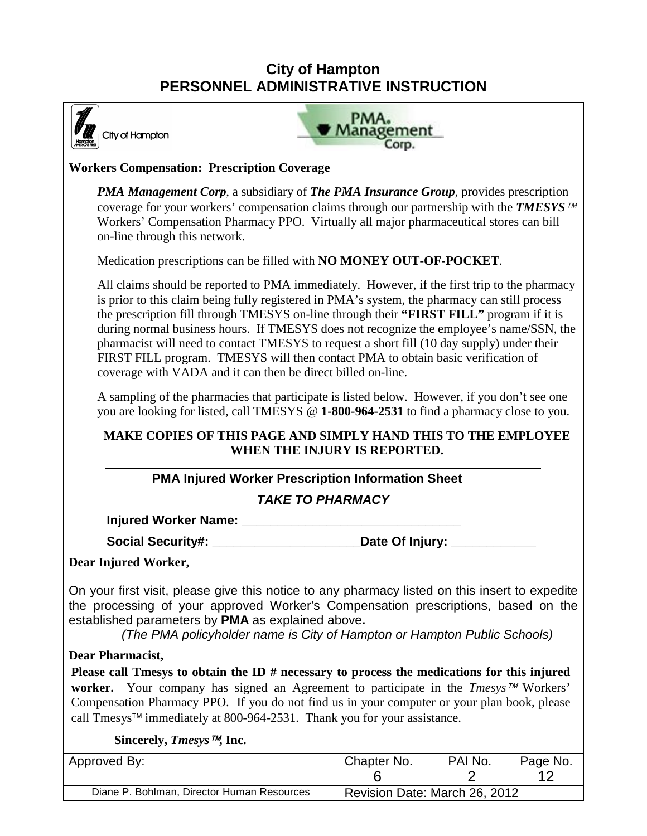

City of Hampton



### **Workers Compensation: Prescription Coverage**

*PMA Management Corp*, a subsidiary of *The PMA Insurance Group*, provides prescription coverage for your workers' compensation claims through our partnership with the **TMESYS**<sup> $\pi$ M</sup> Workers' Compensation Pharmacy PPO. Virtually all major pharmaceutical stores can bill on-line through this network.

Medication prescriptions can be filled with **NO MONEY OUT-OF-POCKET**.

All claims should be reported to PMA immediately. However, if the first trip to the pharmacy is prior to this claim being fully registered in PMA's system, the pharmacy can still process the prescription fill through TMESYS on-line through their **"FIRST FILL"** program if it is during normal business hours. If TMESYS does not recognize the employee's name/SSN, the pharmacist will need to contact TMESYS to request a short fill (10 day supply) under their FIRST FILL program. TMESYS will then contact PMA to obtain basic verification of coverage with VADA and it can then be direct billed on-line.

A sampling of the pharmacies that participate is listed below. However, if you don't see one you are looking for listed, call TMESYS @ **1-800-964-2531** to find a pharmacy close to you.

## **MAKE COPIES OF THIS PAGE AND SIMPLY HAND THIS TO THE EMPLOYEE WHEN THE INJURY IS REPORTED.**

## **PMA Injured Worker Prescription Information Sheet**

## *TAKE TO PHARMACY*

**Injured Worker Name: \_\_\_\_\_\_\_\_\_\_\_\_\_\_\_\_\_\_\_\_\_\_\_\_\_\_\_\_\_\_\_** 

Social Security#: **All and Security Social Security** Social Security:

#### **Dear Injured Worker,**

On your first visit, please give this notice to any pharmacy listed on this insert to expedite the processing of your approved Worker's Compensation prescriptions, based on the established parameters by **PMA** as explained above**.** 

*(The PMA policyholder name is City of Hampton or Hampton Public Schools)*

#### **Dear Pharmacist,**

Please call Tmesys to obtain the ID # necessary to process the medications for this injured **worker.** Your company has signed an Agreement to participate in the *Tmesys™* Workers' Compensation Pharmacy PPO. If you do not find us in your computer or your plan book, please call Tmesys<sup> $\text{TM}$ </sup> immediately at 800-964-2531. Thank you for your assistance.

#### **Sincerely,** *Tmesys***, Inc.**

| Approved By:                               | Chapter No.                   | PAI No. | Page No. |
|--------------------------------------------|-------------------------------|---------|----------|
|                                            |                               |         |          |
| Diane P. Bohlman, Director Human Resources | Revision Date: March 26, 2012 |         |          |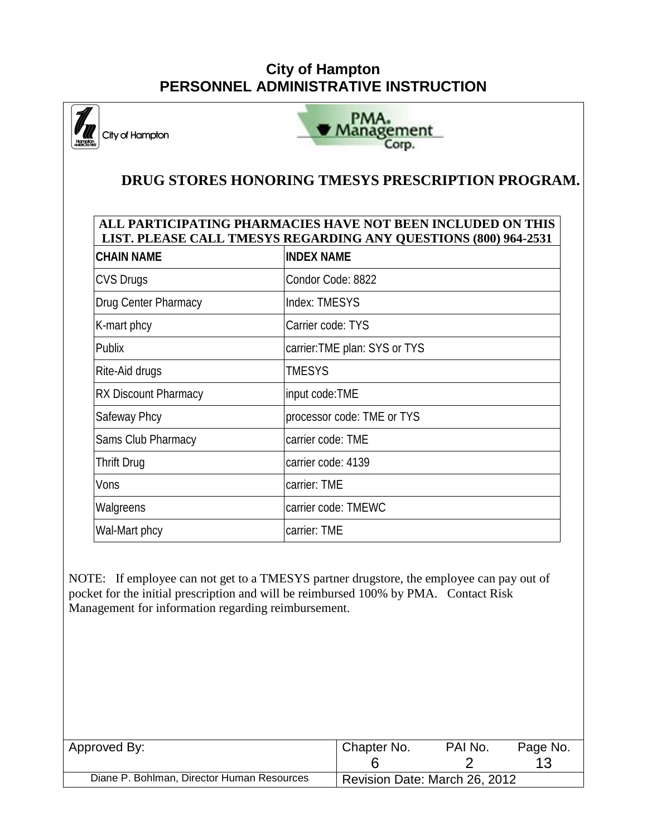PMA. **Management** City of Hampton Corp.  **DRUG STORES HONORING TMESYS PRESCRIPTION PROGRAM. ALL PARTICIPATING PHARMACIES HAVE NOT BEEN INCLUDED ON THIS LIST. PLEASE CALL TMESYS REGARDING ANY QUESTIONS (800) 964-2531 CHAIN NAME INDEX NAME** CVS Drugs CVS Drugs Condor Code: 8822 Drug Center Pharmacy Index: TMESYS K-mart phcy Carrier code: TYS Publix carrier:TME plan: SYS or TYS Rite-Aid drugs TMESYS RX Discount Pharmacy input code:TME Safeway Phcy **processor code:** TME or TYS Sams Club Pharmacy carrier code: TME Thrift Drug carrier code: 4139 Vons carrier: TME Walgreens **carrier code:** TMEWC Wal-Mart phcy carrier: TME NOTE: If employee can not get to a TMESYS partner drugstore, the employee can pay out of pocket for the initial prescription and will be reimbursed 100% by PMA. Contact Risk Management for information regarding reimbursement. Approved By: No. 2012 | Chapter No. 2014 | Chapter No. 2014 | Chapter No. 2014 | Chapter No. 2014 | PAI No. 20 6 2 13 Diane P. Bohlman, Director Human Resources | Revision Date: March 26, 2012